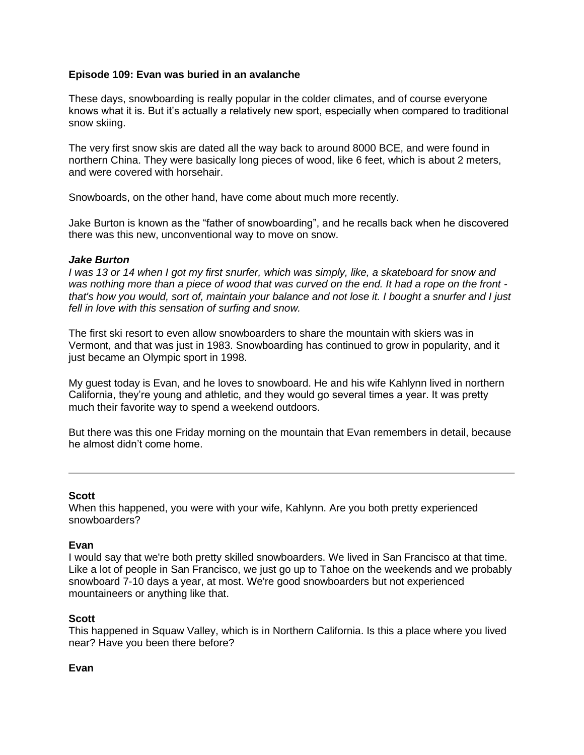### **Episode 109: Evan was buried in an avalanche**

These days, snowboarding is really popular in the colder climates, and of course everyone knows what it is. But it's actually a relatively new sport, especially when compared to traditional snow skiing.

The very first snow skis are dated all the way back to around 8000 BCE, and were found in northern China. They were basically long pieces of wood, like 6 feet, which is about 2 meters, and were covered with horsehair.

Snowboards, on the other hand, have come about much more recently.

Jake Burton is known as the "father of snowboarding", and he recalls back when he discovered there was this new, unconventional way to move on snow.

### *Jake Burton*

*I was 13 or 14 when I got my first snurfer, which was simply, like, a skateboard for snow and was nothing more than a piece of wood that was curved on the end. It had a rope on the front that's how you would, sort of, maintain your balance and not lose it. I bought a snurfer and I just fell in love with this sensation of surfing and snow.*

The first ski resort to even allow snowboarders to share the mountain with skiers was in Vermont, and that was just in 1983. Snowboarding has continued to grow in popularity, and it just became an Olympic sport in 1998.

My guest today is Evan, and he loves to snowboard. He and his wife Kahlynn lived in northern California, they're young and athletic, and they would go several times a year. It was pretty much their favorite way to spend a weekend outdoors.

But there was this one Friday morning on the mountain that Evan remembers in detail, because he almost didn't come home.

### **Scott**

When this happened, you were with your wife, Kahlynn. Are you both pretty experienced snowboarders?

### **Evan**

I would say that we're both pretty skilled snowboarders. We lived in San Francisco at that time. Like a lot of people in San Francisco, we just go up to Tahoe on the weekends and we probably snowboard 7-10 days a year, at most. We're good snowboarders but not experienced mountaineers or anything like that.

### **Scott**

This happened in Squaw Valley, which is in Northern California. Is this a place where you lived near? Have you been there before?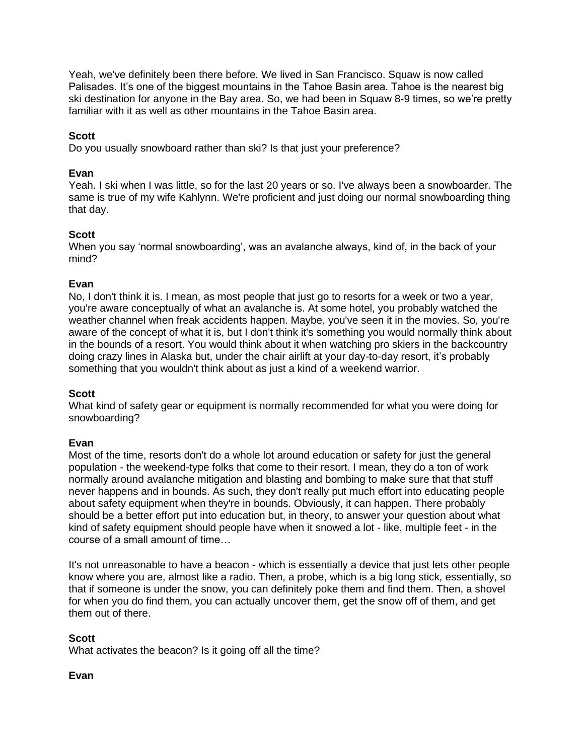Yeah, we've definitely been there before. We lived in San Francisco. Squaw is now called Palisades. It's one of the biggest mountains in the Tahoe Basin area. Tahoe is the nearest big ski destination for anyone in the Bay area. So, we had been in Squaw 8-9 times, so we're pretty familiar with it as well as other mountains in the Tahoe Basin area.

# **Scott**

Do you usually snowboard rather than ski? Is that just your preference?

# **Evan**

Yeah. I ski when I was little, so for the last 20 years or so. I've always been a snowboarder. The same is true of my wife Kahlynn. We're proficient and just doing our normal snowboarding thing that day.

# **Scott**

When you say 'normal snowboarding', was an avalanche always, kind of, in the back of your mind?

### **Evan**

No, I don't think it is. I mean, as most people that just go to resorts for a week or two a year, you're aware conceptually of what an avalanche is. At some hotel, you probably watched the weather channel when freak accidents happen. Maybe, you've seen it in the movies. So, you're aware of the concept of what it is, but I don't think it's something you would normally think about in the bounds of a resort. You would think about it when watching pro skiers in the backcountry doing crazy lines in Alaska but, under the chair airlift at your day-to-day resort, it's probably something that you wouldn't think about as just a kind of a weekend warrior.

### **Scott**

What kind of safety gear or equipment is normally recommended for what you were doing for snowboarding?

### **Evan**

Most of the time, resorts don't do a whole lot around education or safety for just the general population - the weekend-type folks that come to their resort. I mean, they do a ton of work normally around avalanche mitigation and blasting and bombing to make sure that that stuff never happens and in bounds. As such, they don't really put much effort into educating people about safety equipment when they're in bounds. Obviously, it can happen. There probably should be a better effort put into education but, in theory, to answer your question about what kind of safety equipment should people have when it snowed a lot - like, multiple feet - in the course of a small amount of time…

It's not unreasonable to have a beacon - which is essentially a device that just lets other people know where you are, almost like a radio. Then, a probe, which is a big long stick, essentially, so that if someone is under the snow, you can definitely poke them and find them. Then, a shovel for when you do find them, you can actually uncover them, get the snow off of them, and get them out of there.

# **Scott**

What activates the beacon? Is it going off all the time?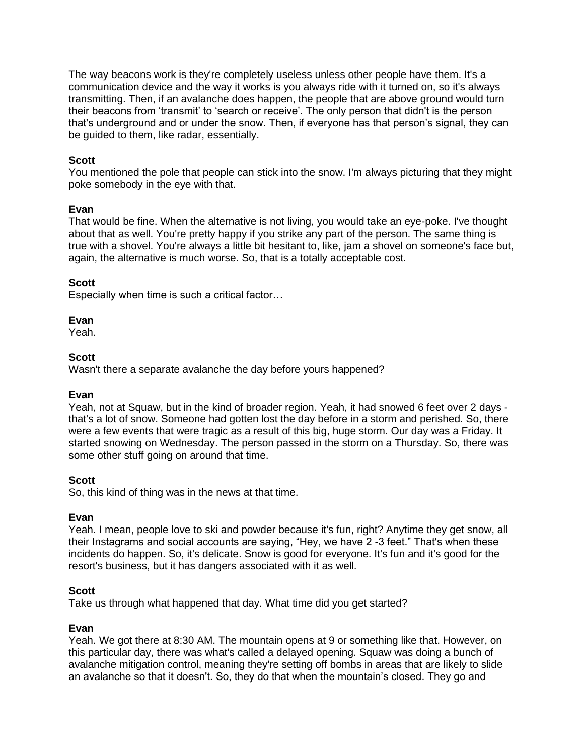The way beacons work is they're completely useless unless other people have them. It's a communication device and the way it works is you always ride with it turned on, so it's always transmitting. Then, if an avalanche does happen, the people that are above ground would turn their beacons from 'transmit' to 'search or receive'. The only person that didn't is the person that's underground and or under the snow. Then, if everyone has that person's signal, they can be guided to them, like radar, essentially.

### **Scott**

You mentioned the pole that people can stick into the snow. I'm always picturing that they might poke somebody in the eye with that.

### **Evan**

That would be fine. When the alternative is not living, you would take an eye-poke. I've thought about that as well. You're pretty happy if you strike any part of the person. The same thing is true with a shovel. You're always a little bit hesitant to, like, jam a shovel on someone's face but, again, the alternative is much worse. So, that is a totally acceptable cost.

### **Scott**

Especially when time is such a critical factor…

#### **Evan**

Yeah.

#### **Scott**

Wasn't there a separate avalanche the day before yours happened?

### **Evan**

Yeah, not at Squaw, but in the kind of broader region. Yeah, it had snowed 6 feet over 2 days that's a lot of snow. Someone had gotten lost the day before in a storm and perished. So, there were a few events that were tragic as a result of this big, huge storm. Our day was a Friday. It started snowing on Wednesday. The person passed in the storm on a Thursday. So, there was some other stuff going on around that time.

### **Scott**

So, this kind of thing was in the news at that time.

### **Evan**

Yeah. I mean, people love to ski and powder because it's fun, right? Anytime they get snow, all their Instagrams and social accounts are saying, "Hey, we have 2 -3 feet." That's when these incidents do happen. So, it's delicate. Snow is good for everyone. It's fun and it's good for the resort's business, but it has dangers associated with it as well.

### **Scott**

Take us through what happened that day. What time did you get started?

### **Evan**

Yeah. We got there at 8:30 AM. The mountain opens at 9 or something like that. However, on this particular day, there was what's called a delayed opening. Squaw was doing a bunch of avalanche mitigation control, meaning they're setting off bombs in areas that are likely to slide an avalanche so that it doesn't. So, they do that when the mountain's closed. They go and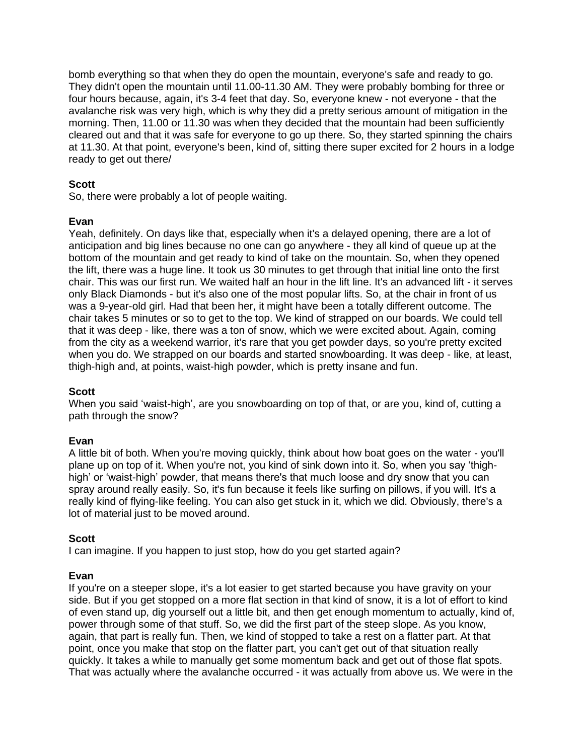bomb everything so that when they do open the mountain, everyone's safe and ready to go. They didn't open the mountain until 11.00-11.30 AM. They were probably bombing for three or four hours because, again, it's 3-4 feet that day. So, everyone knew - not everyone - that the avalanche risk was very high, which is why they did a pretty serious amount of mitigation in the morning. Then, 11.00 or 11.30 was when they decided that the mountain had been sufficiently cleared out and that it was safe for everyone to go up there. So, they started spinning the chairs at 11.30. At that point, everyone's been, kind of, sitting there super excited for 2 hours in a lodge ready to get out there/

# **Scott**

So, there were probably a lot of people waiting.

# **Evan**

Yeah, definitely. On days like that, especially when it's a delayed opening, there are a lot of anticipation and big lines because no one can go anywhere - they all kind of queue up at the bottom of the mountain and get ready to kind of take on the mountain. So, when they opened the lift, there was a huge line. It took us 30 minutes to get through that initial line onto the first chair. This was our first run. We waited half an hour in the lift line. It's an advanced lift - it serves only Black Diamonds - but it's also one of the most popular lifts. So, at the chair in front of us was a 9-year-old girl. Had that been her, it might have been a totally different outcome. The chair takes 5 minutes or so to get to the top. We kind of strapped on our boards. We could tell that it was deep - like, there was a ton of snow, which we were excited about. Again, coming from the city as a weekend warrior, it's rare that you get powder days, so you're pretty excited when you do. We strapped on our boards and started snowboarding. It was deep - like, at least, thigh-high and, at points, waist-high powder, which is pretty insane and fun.

# **Scott**

When you said 'waist-high', are you snowboarding on top of that, or are you, kind of, cutting a path through the snow?

# **Evan**

A little bit of both. When you're moving quickly, think about how boat goes on the water - you'll plane up on top of it. When you're not, you kind of sink down into it. So, when you say 'thighhigh' or 'waist-high' powder, that means there's that much loose and dry snow that you can spray around really easily. So, it's fun because it feels like surfing on pillows, if you will. It's a really kind of flying-like feeling. You can also get stuck in it, which we did. Obviously, there's a lot of material just to be moved around.

# **Scott**

I can imagine. If you happen to just stop, how do you get started again?

# **Evan**

If you're on a steeper slope, it's a lot easier to get started because you have gravity on your side. But if you get stopped on a more flat section in that kind of snow, it is a lot of effort to kind of even stand up, dig yourself out a little bit, and then get enough momentum to actually, kind of, power through some of that stuff. So, we did the first part of the steep slope. As you know, again, that part is really fun. Then, we kind of stopped to take a rest on a flatter part. At that point, once you make that stop on the flatter part, you can't get out of that situation really quickly. It takes a while to manually get some momentum back and get out of those flat spots. That was actually where the avalanche occurred - it was actually from above us. We were in the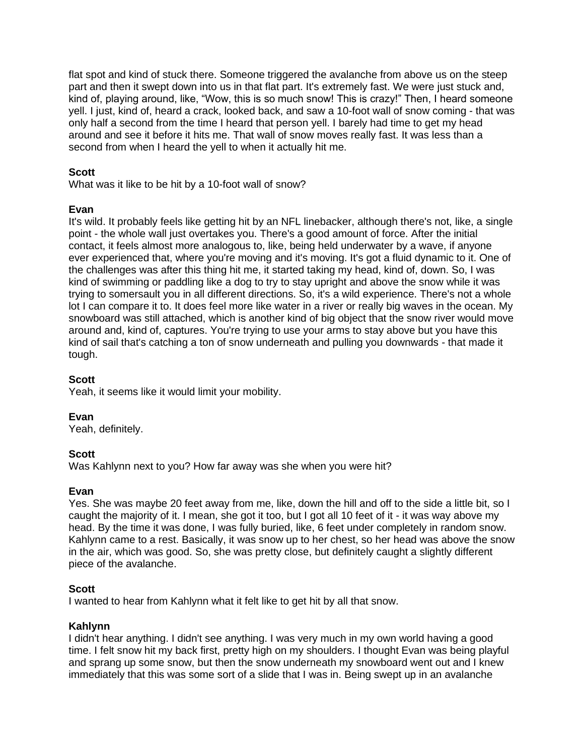flat spot and kind of stuck there. Someone triggered the avalanche from above us on the steep part and then it swept down into us in that flat part. It's extremely fast. We were just stuck and, kind of, playing around, like, "Wow, this is so much snow! This is crazy!" Then, I heard someone yell. I just, kind of, heard a crack, looked back, and saw a 10-foot wall of snow coming - that was only half a second from the time I heard that person yell. I barely had time to get my head around and see it before it hits me. That wall of snow moves really fast. It was less than a second from when I heard the yell to when it actually hit me.

# **Scott**

What was it like to be hit by a 10-foot wall of snow?

# **Evan**

It's wild. It probably feels like getting hit by an NFL linebacker, although there's not, like, a single point - the whole wall just overtakes you. There's a good amount of force. After the initial contact, it feels almost more analogous to, like, being held underwater by a wave, if anyone ever experienced that, where you're moving and it's moving. It's got a fluid dynamic to it. One of the challenges was after this thing hit me, it started taking my head, kind of, down. So, I was kind of swimming or paddling like a dog to try to stay upright and above the snow while it was trying to somersault you in all different directions. So, it's a wild experience. There's not a whole lot I can compare it to. It does feel more like water in a river or really big waves in the ocean. My snowboard was still attached, which is another kind of big object that the snow river would move around and, kind of, captures. You're trying to use your arms to stay above but you have this kind of sail that's catching a ton of snow underneath and pulling you downwards - that made it tough.

### **Scott**

Yeah, it seems like it would limit your mobility.

**Evan**

Yeah, definitely.

# **Scott**

Was Kahlynn next to you? How far away was she when you were hit?

### **Evan**

Yes. She was maybe 20 feet away from me, like, down the hill and off to the side a little bit, so I caught the majority of it. I mean, she got it too, but I got all 10 feet of it - it was way above my head. By the time it was done, I was fully buried, like, 6 feet under completely in random snow. Kahlynn came to a rest. Basically, it was snow up to her chest, so her head was above the snow in the air, which was good. So, she was pretty close, but definitely caught a slightly different piece of the avalanche.

# **Scott**

I wanted to hear from Kahlynn what it felt like to get hit by all that snow.

# **Kahlynn**

I didn't hear anything. I didn't see anything. I was very much in my own world having a good time. I felt snow hit my back first, pretty high on my shoulders. I thought Evan was being playful and sprang up some snow, but then the snow underneath my snowboard went out and I knew immediately that this was some sort of a slide that I was in. Being swept up in an avalanche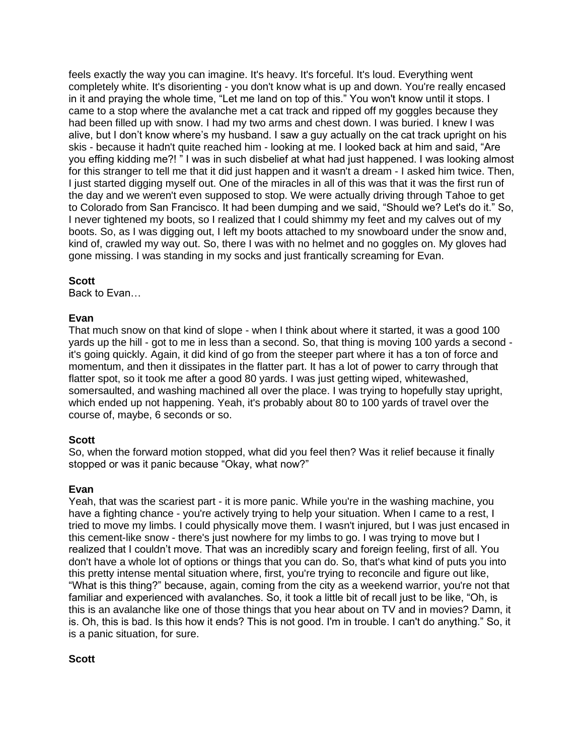feels exactly the way you can imagine. It's heavy. It's forceful. It's loud. Everything went completely white. It's disorienting - you don't know what is up and down. You're really encased in it and praying the whole time, "Let me land on top of this." You won't know until it stops. I came to a stop where the avalanche met a cat track and ripped off my goggles because they had been filled up with snow. I had my two arms and chest down. I was buried. I knew I was alive, but I don't know where's my husband. I saw a guy actually on the cat track upright on his skis - because it hadn't quite reached him - looking at me. I looked back at him and said, "Are you effing kidding me?! " I was in such disbelief at what had just happened. I was looking almost for this stranger to tell me that it did just happen and it wasn't a dream - I asked him twice. Then, I just started digging myself out. One of the miracles in all of this was that it was the first run of the day and we weren't even supposed to stop. We were actually driving through Tahoe to get to Colorado from San Francisco. It had been dumping and we said, "Should we? Let's do it." So, I never tightened my boots, so I realized that I could shimmy my feet and my calves out of my boots. So, as I was digging out, I left my boots attached to my snowboard under the snow and, kind of, crawled my way out. So, there I was with no helmet and no goggles on. My gloves had gone missing. I was standing in my socks and just frantically screaming for Evan.

# **Scott**

Back to Evan…

# **Evan**

That much snow on that kind of slope - when I think about where it started, it was a good 100 yards up the hill - got to me in less than a second. So, that thing is moving 100 yards a second it's going quickly. Again, it did kind of go from the steeper part where it has a ton of force and momentum, and then it dissipates in the flatter part. It has a lot of power to carry through that flatter spot, so it took me after a good 80 yards. I was just getting wiped, whitewashed, somersaulted, and washing machined all over the place. I was trying to hopefully stay upright, which ended up not happening. Yeah, it's probably about 80 to 100 yards of travel over the course of, maybe, 6 seconds or so.

# **Scott**

So, when the forward motion stopped, what did you feel then? Was it relief because it finally stopped or was it panic because "Okay, what now?"

# **Evan**

Yeah, that was the scariest part - it is more panic. While you're in the washing machine, you have a fighting chance - you're actively trying to help your situation. When I came to a rest, I tried to move my limbs. I could physically move them. I wasn't injured, but I was just encased in this cement-like snow - there's just nowhere for my limbs to go. I was trying to move but I realized that I couldn't move. That was an incredibly scary and foreign feeling, first of all. You don't have a whole lot of options or things that you can do. So, that's what kind of puts you into this pretty intense mental situation where, first, you're trying to reconcile and figure out like, "What is this thing?" because, again, coming from the city as a weekend warrior, you're not that familiar and experienced with avalanches. So, it took a little bit of recall just to be like, "Oh, is this is an avalanche like one of those things that you hear about on TV and in movies? Damn, it is. Oh, this is bad. Is this how it ends? This is not good. I'm in trouble. I can't do anything." So, it is a panic situation, for sure.

# **Scott**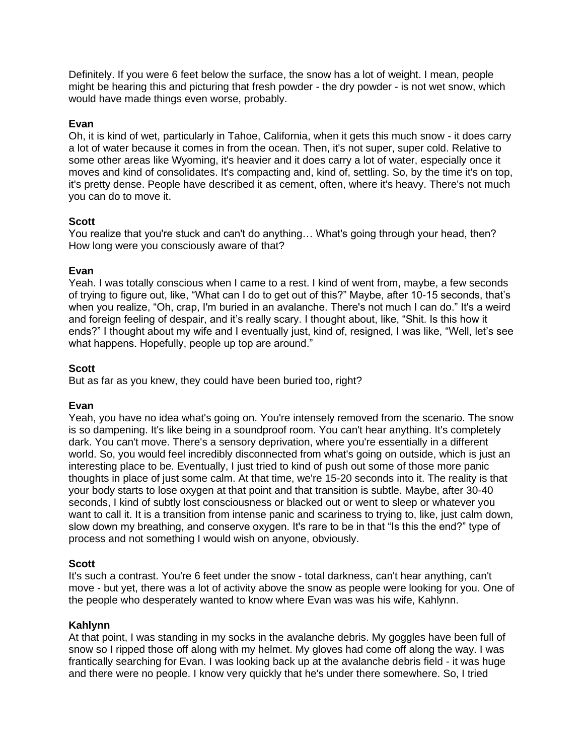Definitely. If you were 6 feet below the surface, the snow has a lot of weight. I mean, people might be hearing this and picturing that fresh powder - the dry powder - is not wet snow, which would have made things even worse, probably.

### **Evan**

Oh, it is kind of wet, particularly in Tahoe, California, when it gets this much snow - it does carry a lot of water because it comes in from the ocean. Then, it's not super, super cold. Relative to some other areas like Wyoming, it's heavier and it does carry a lot of water, especially once it moves and kind of consolidates. It's compacting and, kind of, settling. So, by the time it's on top, it's pretty dense. People have described it as cement, often, where it's heavy. There's not much you can do to move it.

### **Scott**

You realize that you're stuck and can't do anything... What's going through your head, then? How long were you consciously aware of that?

### **Evan**

Yeah. I was totally conscious when I came to a rest. I kind of went from, maybe, a few seconds of trying to figure out, like, "What can I do to get out of this?" Maybe, after 10-15 seconds, that's when you realize, "Oh, crap, I'm buried in an avalanche. There's not much I can do." It's a weird and foreign feeling of despair, and it's really scary. I thought about, like, "Shit. Is this how it ends?" I thought about my wife and I eventually just, kind of, resigned, I was like, "Well, let's see what happens. Hopefully, people up top are around."

### **Scott**

But as far as you knew, they could have been buried too, right?

# **Evan**

Yeah, you have no idea what's going on. You're intensely removed from the scenario. The snow is so dampening. It's like being in a soundproof room. You can't hear anything. It's completely dark. You can't move. There's a sensory deprivation, where you're essentially in a different world. So, you would feel incredibly disconnected from what's going on outside, which is just an interesting place to be. Eventually, I just tried to kind of push out some of those more panic thoughts in place of just some calm. At that time, we're 15-20 seconds into it. The reality is that your body starts to lose oxygen at that point and that transition is subtle. Maybe, after 30-40 seconds, I kind of subtly lost consciousness or blacked out or went to sleep or whatever you want to call it. It is a transition from intense panic and scariness to trying to, like, just calm down, slow down my breathing, and conserve oxygen. It's rare to be in that "Is this the end?" type of process and not something I would wish on anyone, obviously.

# **Scott**

It's such a contrast. You're 6 feet under the snow - total darkness, can't hear anything, can't move - but yet, there was a lot of activity above the snow as people were looking for you. One of the people who desperately wanted to know where Evan was was his wife, Kahlynn.

### **Kahlynn**

At that point, I was standing in my socks in the avalanche debris. My goggles have been full of snow so I ripped those off along with my helmet. My gloves had come off along the way. I was frantically searching for Evan. I was looking back up at the avalanche debris field - it was huge and there were no people. I know very quickly that he's under there somewhere. So, I tried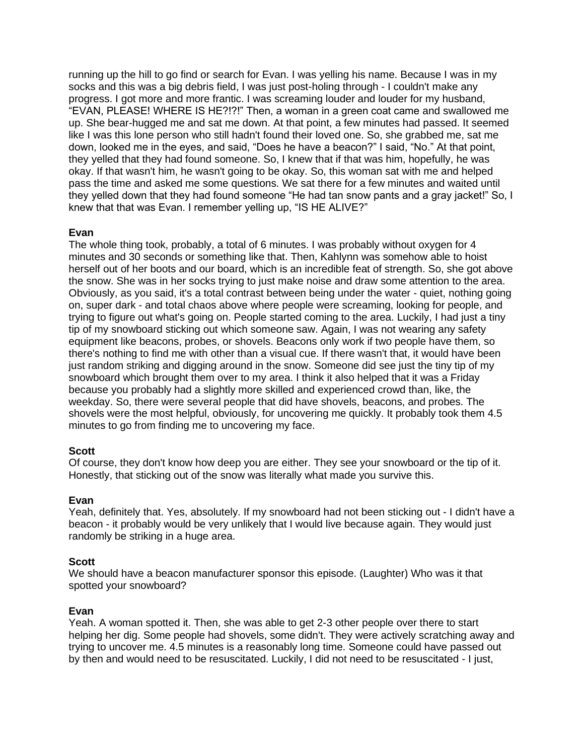running up the hill to go find or search for Evan. I was yelling his name. Because I was in my socks and this was a big debris field, I was just post-holing through - I couldn't make any progress. I got more and more frantic. I was screaming louder and louder for my husband, "EVAN, PLEASE! WHERE IS HE?!?!" Then, a woman in a green coat came and swallowed me up. She bear-hugged me and sat me down. At that point, a few minutes had passed. It seemed like I was this lone person who still hadn't found their loved one. So, she grabbed me, sat me down, looked me in the eyes, and said, "Does he have a beacon?" I said, "No." At that point, they yelled that they had found someone. So, I knew that if that was him, hopefully, he was okay. If that wasn't him, he wasn't going to be okay. So, this woman sat with me and helped pass the time and asked me some questions. We sat there for a few minutes and waited until they yelled down that they had found someone "He had tan snow pants and a gray jacket!" So, I knew that that was Evan. I remember yelling up, "IS HE ALIVE?"

### **Evan**

The whole thing took, probably, a total of 6 minutes. I was probably without oxygen for 4 minutes and 30 seconds or something like that. Then, Kahlynn was somehow able to hoist herself out of her boots and our board, which is an incredible feat of strength. So, she got above the snow. She was in her socks trying to just make noise and draw some attention to the area. Obviously, as you said, it's a total contrast between being under the water - quiet, nothing going on, super dark - and total chaos above where people were screaming, looking for people, and trying to figure out what's going on. People started coming to the area. Luckily, I had just a tiny tip of my snowboard sticking out which someone saw. Again, I was not wearing any safety equipment like beacons, probes, or shovels. Beacons only work if two people have them, so there's nothing to find me with other than a visual cue. If there wasn't that, it would have been just random striking and digging around in the snow. Someone did see just the tiny tip of my snowboard which brought them over to my area. I think it also helped that it was a Friday because you probably had a slightly more skilled and experienced crowd than, like, the weekday. So, there were several people that did have shovels, beacons, and probes. The shovels were the most helpful, obviously, for uncovering me quickly. It probably took them 4.5 minutes to go from finding me to uncovering my face.

# **Scott**

Of course, they don't know how deep you are either. They see your snowboard or the tip of it. Honestly, that sticking out of the snow was literally what made you survive this.

### **Evan**

Yeah, definitely that. Yes, absolutely. If my snowboard had not been sticking out - I didn't have a beacon - it probably would be very unlikely that I would live because again. They would just randomly be striking in a huge area.

# **Scott**

We should have a beacon manufacturer sponsor this episode. (Laughter) Who was it that spotted your snowboard?

# **Evan**

Yeah. A woman spotted it. Then, she was able to get 2-3 other people over there to start helping her dig. Some people had shovels, some didn't. They were actively scratching away and trying to uncover me. 4.5 minutes is a reasonably long time. Someone could have passed out by then and would need to be resuscitated. Luckily, I did not need to be resuscitated - I just,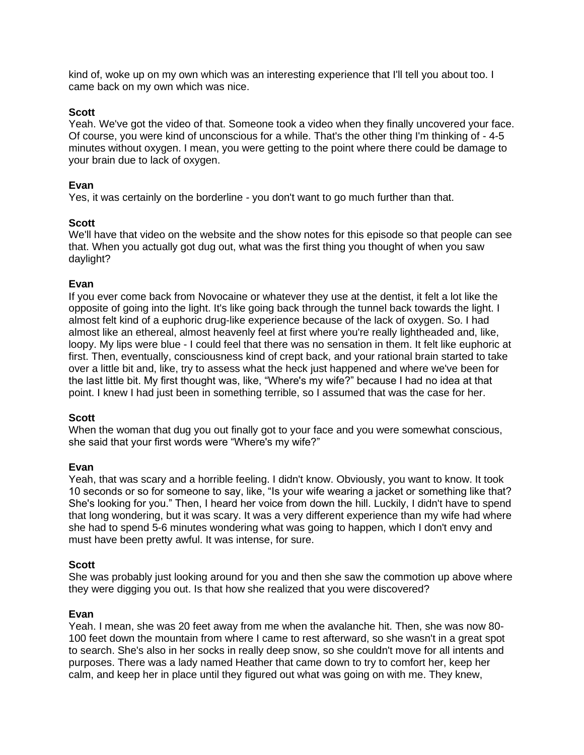kind of, woke up on my own which was an interesting experience that I'll tell you about too. I came back on my own which was nice.

### **Scott**

Yeah. We've got the video of that. Someone took a video when they finally uncovered your face. Of course, you were kind of unconscious for a while. That's the other thing I'm thinking of - 4-5 minutes without oxygen. I mean, you were getting to the point where there could be damage to your brain due to lack of oxygen.

#### **Evan**

Yes, it was certainly on the borderline - you don't want to go much further than that.

#### **Scott**

We'll have that video on the website and the show notes for this episode so that people can see that. When you actually got dug out, what was the first thing you thought of when you saw daylight?

#### **Evan**

If you ever come back from Novocaine or whatever they use at the dentist, it felt a lot like the opposite of going into the light. It's like going back through the tunnel back towards the light. I almost felt kind of a euphoric drug-like experience because of the lack of oxygen. So. I had almost like an ethereal, almost heavenly feel at first where you're really lightheaded and, like, loopy. My lips were blue - I could feel that there was no sensation in them. It felt like euphoric at first. Then, eventually, consciousness kind of crept back, and your rational brain started to take over a little bit and, like, try to assess what the heck just happened and where we've been for the last little bit. My first thought was, like, "Where's my wife?" because I had no idea at that point. I knew I had just been in something terrible, so I assumed that was the case for her.

#### **Scott**

When the woman that dug you out finally got to your face and you were somewhat conscious, she said that your first words were "Where's my wife?"

### **Evan**

Yeah, that was scary and a horrible feeling. I didn't know. Obviously, you want to know. It took 10 seconds or so for someone to say, like, "Is your wife wearing a jacket or something like that? She's looking for you." Then, I heard her voice from down the hill. Luckily, I didn't have to spend that long wondering, but it was scary. It was a very different experience than my wife had where she had to spend 5-6 minutes wondering what was going to happen, which I don't envy and must have been pretty awful. It was intense, for sure.

#### **Scott**

She was probably just looking around for you and then she saw the commotion up above where they were digging you out. Is that how she realized that you were discovered?

#### **Evan**

Yeah. I mean, she was 20 feet away from me when the avalanche hit. Then, she was now 80- 100 feet down the mountain from where I came to rest afterward, so she wasn't in a great spot to search. She's also in her socks in really deep snow, so she couldn't move for all intents and purposes. There was a lady named Heather that came down to try to comfort her, keep her calm, and keep her in place until they figured out what was going on with me. They knew,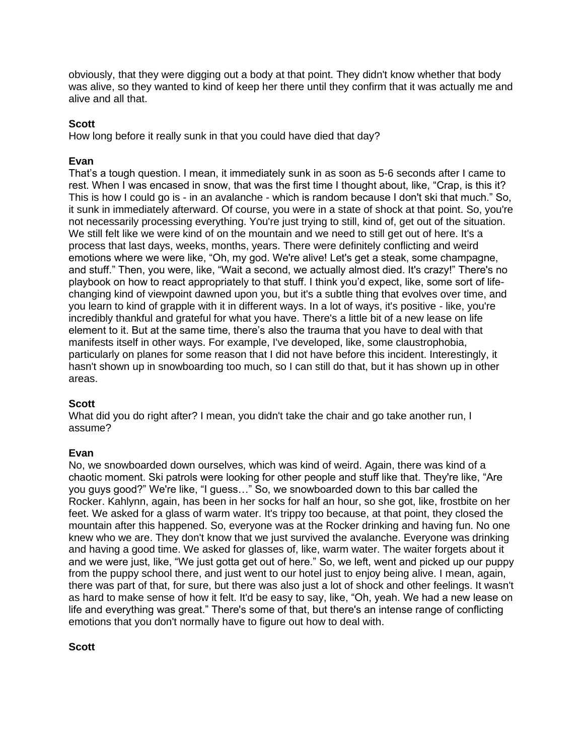obviously, that they were digging out a body at that point. They didn't know whether that body was alive, so they wanted to kind of keep her there until they confirm that it was actually me and alive and all that.

### **Scott**

How long before it really sunk in that you could have died that day?

### **Evan**

That's a tough question. I mean, it immediately sunk in as soon as 5-6 seconds after I came to rest. When I was encased in snow, that was the first time I thought about, like, "Crap, is this it? This is how I could go is - in an avalanche - which is random because I don't ski that much." So, it sunk in immediately afterward. Of course, you were in a state of shock at that point. So, you're not necessarily processing everything. You're just trying to still, kind of, get out of the situation. We still felt like we were kind of on the mountain and we need to still get out of here. It's a process that last days, weeks, months, years. There were definitely conflicting and weird emotions where we were like, "Oh, my god. We're alive! Let's get a steak, some champagne, and stuff." Then, you were, like, "Wait a second, we actually almost died. It's crazy!" There's no playbook on how to react appropriately to that stuff. I think you'd expect, like, some sort of lifechanging kind of viewpoint dawned upon you, but it's a subtle thing that evolves over time, and you learn to kind of grapple with it in different ways. In a lot of ways, it's positive - like, you're incredibly thankful and grateful for what you have. There's a little bit of a new lease on life element to it. But at the same time, there's also the trauma that you have to deal with that manifests itself in other ways. For example, I've developed, like, some claustrophobia, particularly on planes for some reason that I did not have before this incident. Interestingly, it hasn't shown up in snowboarding too much, so I can still do that, but it has shown up in other areas.

### **Scott**

What did you do right after? I mean, you didn't take the chair and go take another run, I assume?

### **Evan**

No, we snowboarded down ourselves, which was kind of weird. Again, there was kind of a chaotic moment. Ski patrols were looking for other people and stuff like that. They're like, "Are you guys good?" We're like, "I guess…" So, we snowboarded down to this bar called the Rocker. Kahlynn, again, has been in her socks for half an hour, so she got, like, frostbite on her feet. We asked for a glass of warm water. It's trippy too because, at that point, they closed the mountain after this happened. So, everyone was at the Rocker drinking and having fun. No one knew who we are. They don't know that we just survived the avalanche. Everyone was drinking and having a good time. We asked for glasses of, like, warm water. The waiter forgets about it and we were just, like, "We just gotta get out of here." So, we left, went and picked up our puppy from the puppy school there, and just went to our hotel just to enjoy being alive. I mean, again, there was part of that, for sure, but there was also just a lot of shock and other feelings. It wasn't as hard to make sense of how it felt. It'd be easy to say, like, "Oh, yeah. We had a new lease on life and everything was great." There's some of that, but there's an intense range of conflicting emotions that you don't normally have to figure out how to deal with.

# **Scott**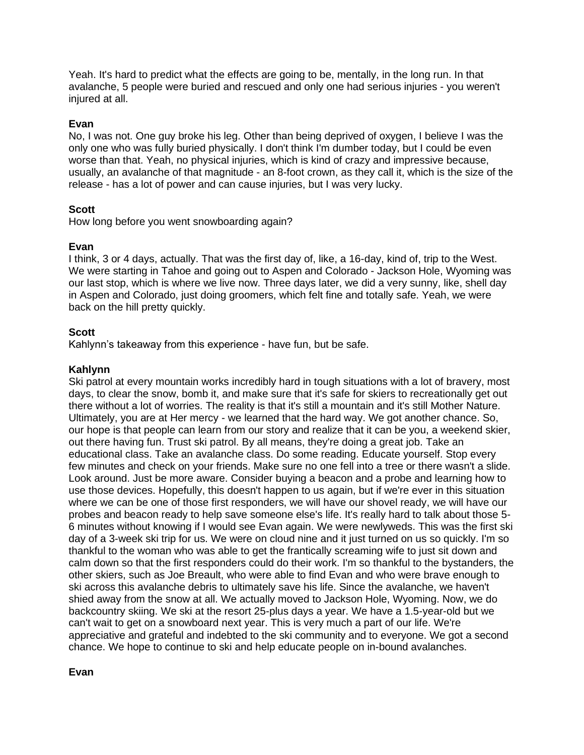Yeah. It's hard to predict what the effects are going to be, mentally, in the long run. In that avalanche, 5 people were buried and rescued and only one had serious injuries - you weren't injured at all.

# **Evan**

No, I was not. One guy broke his leg. Other than being deprived of oxygen, I believe I was the only one who was fully buried physically. I don't think I'm dumber today, but I could be even worse than that. Yeah, no physical injuries, which is kind of crazy and impressive because, usually, an avalanche of that magnitude - an 8-foot crown, as they call it, which is the size of the release - has a lot of power and can cause injuries, but I was very lucky.

# **Scott**

How long before you went snowboarding again?

# **Evan**

I think, 3 or 4 days, actually. That was the first day of, like, a 16-day, kind of, trip to the West. We were starting in Tahoe and going out to Aspen and Colorado - Jackson Hole, Wyoming was our last stop, which is where we live now. Three days later, we did a very sunny, like, shell day in Aspen and Colorado, just doing groomers, which felt fine and totally safe. Yeah, we were back on the hill pretty quickly.

# **Scott**

Kahlynn's takeaway from this experience - have fun, but be safe.

# **Kahlynn**

Ski patrol at every mountain works incredibly hard in tough situations with a lot of bravery, most days, to clear the snow, bomb it, and make sure that it's safe for skiers to recreationally get out there without a lot of worries. The reality is that it's still a mountain and it's still Mother Nature. Ultimately, you are at Her mercy - we learned that the hard way. We got another chance. So, our hope is that people can learn from our story and realize that it can be you, a weekend skier, out there having fun. Trust ski patrol. By all means, they're doing a great job. Take an educational class. Take an avalanche class. Do some reading. Educate yourself. Stop every few minutes and check on your friends. Make sure no one fell into a tree or there wasn't a slide. Look around. Just be more aware. Consider buying a beacon and a probe and learning how to use those devices. Hopefully, this doesn't happen to us again, but if we're ever in this situation where we can be one of those first responders, we will have our shovel ready, we will have our probes and beacon ready to help save someone else's life. It's really hard to talk about those 5- 6 minutes without knowing if I would see Evan again. We were newlyweds. This was the first ski day of a 3-week ski trip for us. We were on cloud nine and it just turned on us so quickly. I'm so thankful to the woman who was able to get the frantically screaming wife to just sit down and calm down so that the first responders could do their work. I'm so thankful to the bystanders, the other skiers, such as Joe Breault, who were able to find Evan and who were brave enough to ski across this avalanche debris to ultimately save his life. Since the avalanche, we haven't shied away from the snow at all. We actually moved to Jackson Hole, Wyoming. Now, we do backcountry skiing. We ski at the resort 25-plus days a year. We have a 1.5-year-old but we can't wait to get on a snowboard next year. This is very much a part of our life. We're appreciative and grateful and indebted to the ski community and to everyone. We got a second chance. We hope to continue to ski and help educate people on in-bound avalanches.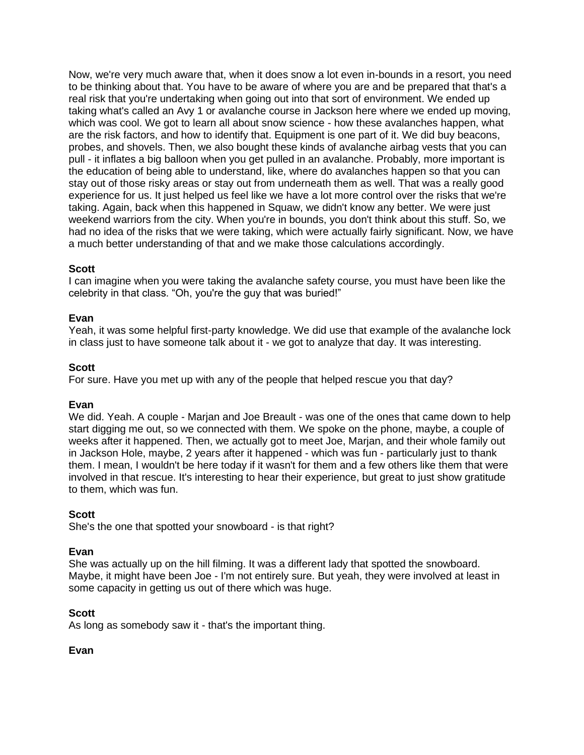Now, we're very much aware that, when it does snow a lot even in-bounds in a resort, you need to be thinking about that. You have to be aware of where you are and be prepared that that's a real risk that you're undertaking when going out into that sort of environment. We ended up taking what's called an Avy 1 or avalanche course in Jackson here where we ended up moving, which was cool. We got to learn all about snow science - how these avalanches happen, what are the risk factors, and how to identify that. Equipment is one part of it. We did buy beacons, probes, and shovels. Then, we also bought these kinds of avalanche airbag vests that you can pull - it inflates a big balloon when you get pulled in an avalanche. Probably, more important is the education of being able to understand, like, where do avalanches happen so that you can stay out of those risky areas or stay out from underneath them as well. That was a really good experience for us. It just helped us feel like we have a lot more control over the risks that we're taking. Again, back when this happened in Squaw, we didn't know any better. We were just weekend warriors from the city. When you're in bounds, you don't think about this stuff. So, we had no idea of the risks that we were taking, which were actually fairly significant. Now, we have a much better understanding of that and we make those calculations accordingly.

### **Scott**

I can imagine when you were taking the avalanche safety course, you must have been like the celebrity in that class. "Oh, you're the guy that was buried!"

### **Evan**

Yeah, it was some helpful first-party knowledge. We did use that example of the avalanche lock in class just to have someone talk about it - we got to analyze that day. It was interesting.

### **Scott**

For sure. Have you met up with any of the people that helped rescue you that day?

### **Evan**

We did. Yeah. A couple - Marjan and Joe Breault - was one of the ones that came down to help start digging me out, so we connected with them. We spoke on the phone, maybe, a couple of weeks after it happened. Then, we actually got to meet Joe, Marjan, and their whole family out in Jackson Hole, maybe, 2 years after it happened - which was fun - particularly just to thank them. I mean, I wouldn't be here today if it wasn't for them and a few others like them that were involved in that rescue. It's interesting to hear their experience, but great to just show gratitude to them, which was fun.

### **Scott**

She's the one that spotted your snowboard - is that right?

### **Evan**

She was actually up on the hill filming. It was a different lady that spotted the snowboard. Maybe, it might have been Joe - I'm not entirely sure. But yeah, they were involved at least in some capacity in getting us out of there which was huge.

### **Scott**

As long as somebody saw it - that's the important thing.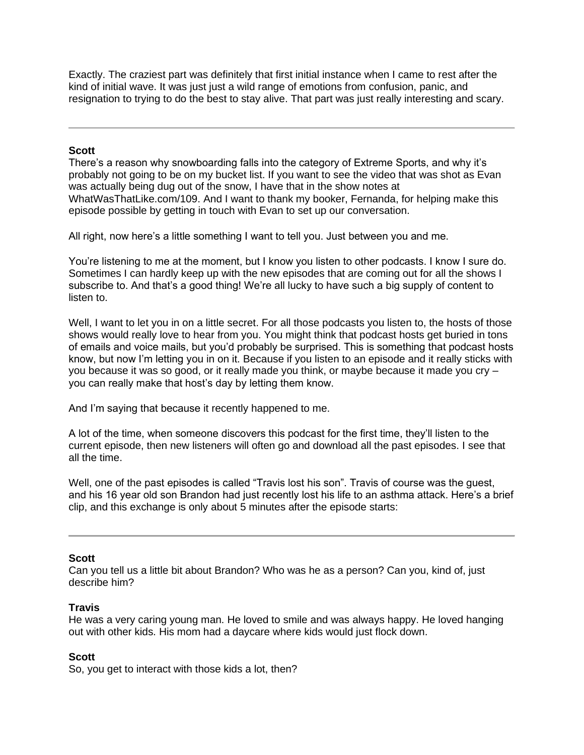Exactly. The craziest part was definitely that first initial instance when I came to rest after the kind of initial wave. It was just just a wild range of emotions from confusion, panic, and resignation to trying to do the best to stay alive. That part was just really interesting and scary.

### **Scott**

There's a reason why snowboarding falls into the category of Extreme Sports, and why it's probably not going to be on my bucket list. If you want to see the video that was shot as Evan was actually being dug out of the snow, I have that in the show notes at WhatWasThatLike.com/109. And I want to thank my booker, Fernanda, for helping make this episode possible by getting in touch with Evan to set up our conversation.

All right, now here's a little something I want to tell you. Just between you and me.

You're listening to me at the moment, but I know you listen to other podcasts. I know I sure do. Sometimes I can hardly keep up with the new episodes that are coming out for all the shows I subscribe to. And that's a good thing! We're all lucky to have such a big supply of content to listen to.

Well, I want to let you in on a little secret. For all those podcasts you listen to, the hosts of those shows would really love to hear from you. You might think that podcast hosts get buried in tons of emails and voice mails, but you'd probably be surprised. This is something that podcast hosts know, but now I'm letting you in on it. Because if you listen to an episode and it really sticks with you because it was so good, or it really made you think, or maybe because it made you cry – you can really make that host's day by letting them know.

And I'm saying that because it recently happened to me.

A lot of the time, when someone discovers this podcast for the first time, they'll listen to the current episode, then new listeners will often go and download all the past episodes. I see that all the time.

Well, one of the past episodes is called "Travis lost his son". Travis of course was the guest, and his 16 year old son Brandon had just recently lost his life to an asthma attack. Here's a brief clip, and this exchange is only about 5 minutes after the episode starts:

# **Scott**

Can you tell us a little bit about Brandon? Who was he as a person? Can you, kind of, just describe him?

# **Travis**

He was a very caring young man. He loved to smile and was always happy. He loved hanging out with other kids. His mom had a daycare where kids would just flock down.

# **Scott**

So, you get to interact with those kids a lot, then?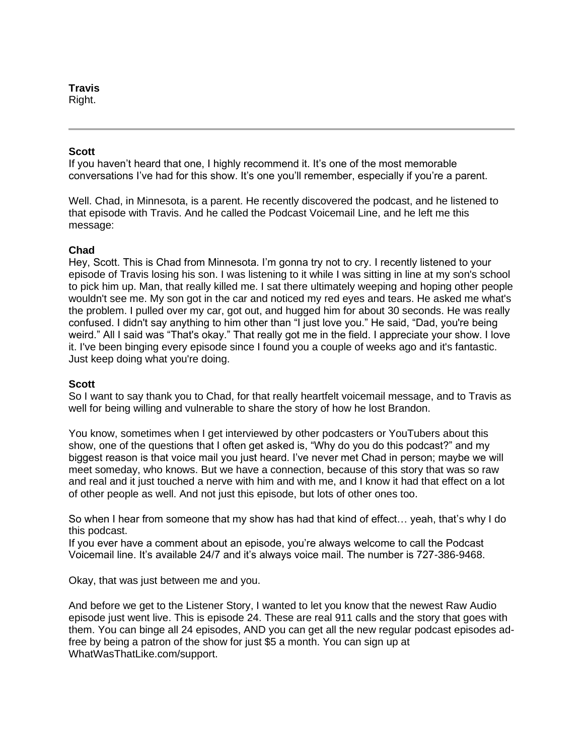### **Travis**

Right.

### **Scott**

If you haven't heard that one, I highly recommend it. It's one of the most memorable conversations I've had for this show. It's one you'll remember, especially if you're a parent.

Well. Chad, in Minnesota, is a parent. He recently discovered the podcast, and he listened to that episode with Travis. And he called the Podcast Voicemail Line, and he left me this message:

### **Chad**

Hey, Scott. This is Chad from Minnesota. I'm gonna try not to cry. I recently listened to your episode of Travis losing his son. I was listening to it while I was sitting in line at my son's school to pick him up. Man, that really killed me. I sat there ultimately weeping and hoping other people wouldn't see me. My son got in the car and noticed my red eyes and tears. He asked me what's the problem. I pulled over my car, got out, and hugged him for about 30 seconds. He was really confused. I didn't say anything to him other than "I just love you." He said, "Dad, you're being weird." All I said was "That's okay." That really got me in the field. I appreciate your show. I love it. I've been binging every episode since I found you a couple of weeks ago and it's fantastic. Just keep doing what you're doing.

### **Scott**

So I want to say thank you to Chad, for that really heartfelt voicemail message, and to Travis as well for being willing and vulnerable to share the story of how he lost Brandon.

You know, sometimes when I get interviewed by other podcasters or YouTubers about this show, one of the questions that I often get asked is, "Why do you do this podcast?" and my biggest reason is that voice mail you just heard. I've never met Chad in person; maybe we will meet someday, who knows. But we have a connection, because of this story that was so raw and real and it just touched a nerve with him and with me, and I know it had that effect on a lot of other people as well. And not just this episode, but lots of other ones too.

So when I hear from someone that my show has had that kind of effect… yeah, that's why I do this podcast.

If you ever have a comment about an episode, you're always welcome to call the Podcast Voicemail line. It's available 24/7 and it's always voice mail. The number is 727-386-9468.

Okay, that was just between me and you.

And before we get to the Listener Story, I wanted to let you know that the newest Raw Audio episode just went live. This is episode 24. These are real 911 calls and the story that goes with them. You can binge all 24 episodes, AND you can get all the new regular podcast episodes adfree by being a patron of the show for just \$5 a month. You can sign up at WhatWasThatLike.com/support.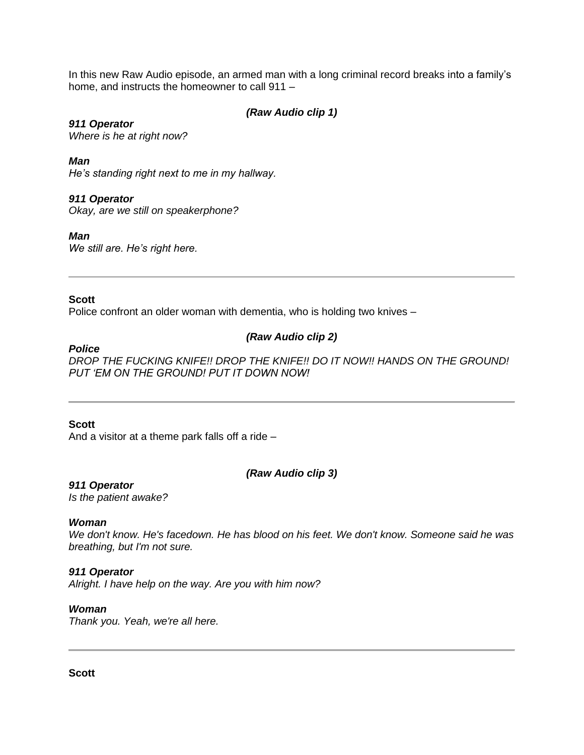In this new Raw Audio episode, an armed man with a long criminal record breaks into a family's home, and instructs the homeowner to call 911 –

# *(Raw Audio clip 1)*

*911 Operator Where is he at right now?*

*Man*

*He's standing right next to me in my hallway.*

### *911 Operator*

*Okay, are we still on speakerphone?*

*Man*

*We still are. He's right here.*

### **Scott**

Police confront an older woman with dementia, who is holding two knives –

# *(Raw Audio clip 2)*

*Police*

*DROP THE FUCKING KNIFE!! DROP THE KNIFE!! DO IT NOW!! HANDS ON THE GROUND! PUT 'EM ON THE GROUND! PUT IT DOWN NOW!*

### **Scott**

And a visitor at a theme park falls off a ride –

### *(Raw Audio clip 3)*

*911 Operator*

*Is the patient awake?*

### *Woman*

*We don't know. He's facedown. He has blood on his feet. We don't know. Someone said he was breathing, but I'm not sure.*

### *911 Operator*

*Alright. I have help on the way. Are you with him now?*

### *Woman*

*Thank you. Yeah, we're all here.*

**Scott**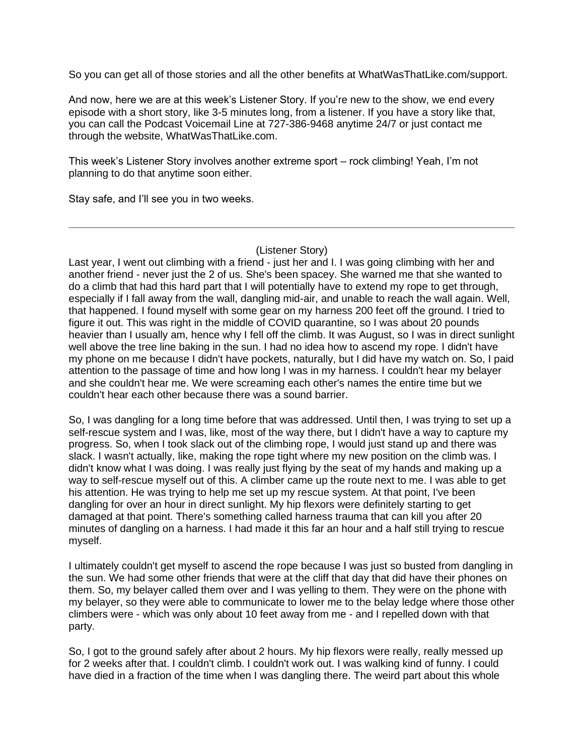So you can get all of those stories and all the other benefits at WhatWasThatLike.com/support.

And now, here we are at this week's Listener Story. If you're new to the show, we end every episode with a short story, like 3-5 minutes long, from a listener. If you have a story like that, you can call the Podcast Voicemail Line at 727-386-9468 anytime 24/7 or just contact me through the website, WhatWasThatLike.com.

This week's Listener Story involves another extreme sport – rock climbing! Yeah, I'm not planning to do that anytime soon either.

Stay safe, and I'll see you in two weeks.

(Listener Story)

Last year, I went out climbing with a friend - just her and I. I was going climbing with her and another friend - never just the 2 of us. She's been spacey. She warned me that she wanted to do a climb that had this hard part that I will potentially have to extend my rope to get through, especially if I fall away from the wall, dangling mid-air, and unable to reach the wall again. Well, that happened. I found myself with some gear on my harness 200 feet off the ground. I tried to figure it out. This was right in the middle of COVID quarantine, so I was about 20 pounds heavier than I usually am, hence why I fell off the climb. It was August, so I was in direct sunlight well above the tree line baking in the sun. I had no idea how to ascend my rope. I didn't have my phone on me because I didn't have pockets, naturally, but I did have my watch on. So, I paid attention to the passage of time and how long I was in my harness. I couldn't hear my belayer and she couldn't hear me. We were screaming each other's names the entire time but we couldn't hear each other because there was a sound barrier.

So, I was dangling for a long time before that was addressed. Until then, I was trying to set up a self-rescue system and I was, like, most of the way there, but I didn't have a way to capture my progress. So, when I took slack out of the climbing rope, I would just stand up and there was slack. I wasn't actually, like, making the rope tight where my new position on the climb was. I didn't know what I was doing. I was really just flying by the seat of my hands and making up a way to self-rescue myself out of this. A climber came up the route next to me. I was able to get his attention. He was trying to help me set up my rescue system. At that point, I've been dangling for over an hour in direct sunlight. My hip flexors were definitely starting to get damaged at that point. There's something called harness trauma that can kill you after 20 minutes of dangling on a harness. I had made it this far an hour and a half still trying to rescue myself.

I ultimately couldn't get myself to ascend the rope because I was just so busted from dangling in the sun. We had some other friends that were at the cliff that day that did have their phones on them. So, my belayer called them over and I was yelling to them. They were on the phone with my belayer, so they were able to communicate to lower me to the belay ledge where those other climbers were - which was only about 10 feet away from me - and I repelled down with that party.

So, I got to the ground safely after about 2 hours. My hip flexors were really, really messed up for 2 weeks after that. I couldn't climb. I couldn't work out. I was walking kind of funny. I could have died in a fraction of the time when I was dangling there. The weird part about this whole